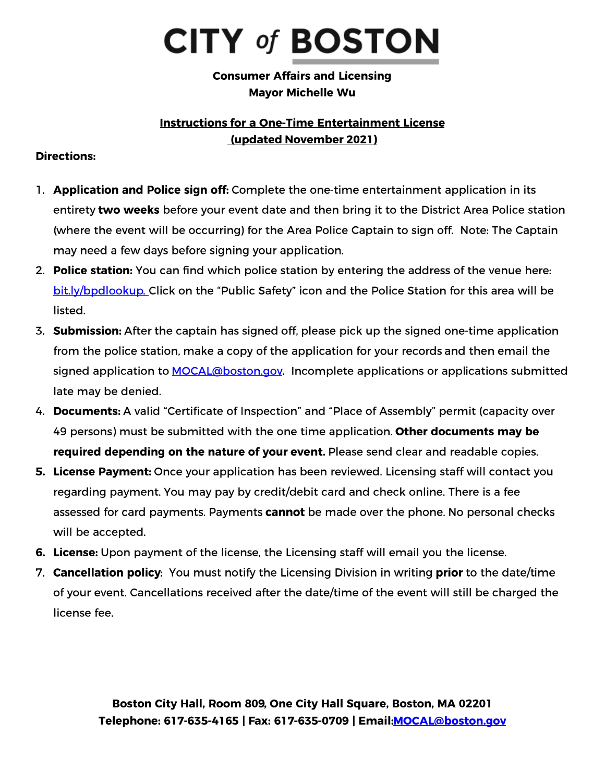## **CITY of BOSTON**

**Consumer Affairs and Licensing Mayor Michelle Wu** 

## **Instructions for a One-Time Entertainment License** (updated November 2021)

## **Directions:**

- 1. Application and Police sign off: Complete the one-time entertainment application in its entirety two weeks before your event date and then bring it to the District Area Police station (where the event will be occurring) for the Area Police Captain to sign off. Note: The Captain may need a few days before signing your application.
- 2. Police station: You can find which police station by entering the address of the venue here: bit.ly/bpdlookup. Click on the "Public Safety" icon and the Police Station for this area will be listed.
- 3. Submission: After the captain has signed off, please pick up the signed one-time application from the police station, make a copy of the application for your records and then email the signed application to **MOCAL@boston.gov.** Incomplete applications or applications submitted late may be denied.
- 4. Documents: A valid "Certificate of Inspection" and "Place of Assembly" permit (capacity over 49 persons) must be submitted with the one time application. Other documents may be required depending on the nature of your event. Please send clear and readable copies.
- 5. License Payment: Once your application has been reviewed. Licensing staff will contact you regarding payment. You may pay by credit/debit card and check online. There is a fee assessed for card payments. Payments cannot be made over the phone. No personal checks will be accepted.
- 6. License: Upon payment of the license, the Licensing staff will email you the license.
- 7. Cancellation policy: You must notify the Licensing Division in writing prior to the date/time of your event. Cancellations received after the date/time of the event will still be charged the license fee.

Boston City Hall, Room 809, One City Hall Square, Boston, MA 02201 Telephone: 617-635-4165 | Fax: 617-635-0709 | Email: MOCAL@boston.gov